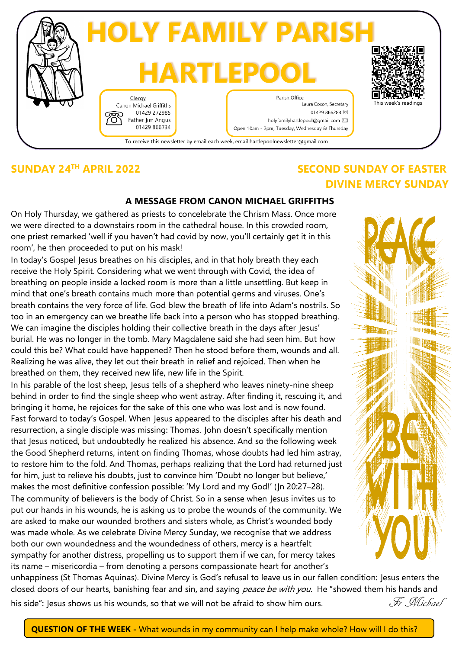

## **SUNDAY 24TH APRIL 2022 SECOND SUNDAY OF EASTER DIVINE MERCY SUNDAY**

### **A MESSAGE FROM CANON MICHAEL GRIFFITHS**

On Holy Thursday, we gathered as priests to concelebrate the Chrism Mass. Once more we were directed to a downstairs room in the cathedral house. In this crowded room, one priest remarked 'well if you haven't had covid by now, you'll certainly get it in this room', he then proceeded to put on his mask!

In today's Gospel Jesus breathes on his disciples, and in that holy breath they each receive the Holy Spirit. Considering what we went through with Covid, the idea of breathing on people inside a locked room is more than a little unsettling. But keep in mind that one's breath contains much more than potential germs and viruses. One's breath contains the very force of life. God blew the breath of life into Adam's nostrils. So too in an emergency can we breathe life back into a person who has stopped breathing. We can imagine the disciples holding their collective breath in the days after Jesus' burial. He was no longer in the tomb. Mary Magdalene said she had seen him. But how could this be? What could have happened? Then he stood before them, wounds and all. Realizing he was alive, they let out their breath in relief and rejoiced. Then when he breathed on them, they received new life, new life in the Spirit.

In his parable of the lost sheep, Jesus tells of a shepherd who leaves ninety-nine sheep behind in order to find the single sheep who went astray. After finding it, rescuing it, and bringing it home, he rejoices for the sake of this one who was lost and is now found. Fast forward to today's Gospel. When Jesus appeared to the disciples after his death and resurrection, a single disciple was missing: Thomas. John doesn't specifically mention that Jesus noticed, but undoubtedly he realized his absence. And so the following week the Good Shepherd returns, intent on finding Thomas, whose doubts had led him astray, to restore him to the fold. And Thomas, perhaps realizing that the Lord had returned just for him, just to relieve his doubts, just to convince him 'Doubt no longer but believe,' makes the most definitive confession possible: 'My Lord and my God!' (Jn 20:27–28). The community of believers is the body of Christ. So in a sense when Jesus invites us to put our hands in his wounds, he is asking us to probe the wounds of the community. We are asked to make our wounded brothers and sisters whole, as Christ's wounded body was made whole. As we celebrate Divine Mercy Sunday, we recognise that we address both our own woundedness and the woundedness of others, mercy is a heartfelt sympathy for another distress, propelling us to support them if we can, for mercy takes its name – misericordia – from denoting a persons compassionate heart for another's

unhappiness (St Thomas Aquinas). Divine Mercy is God's refusal to leave us in our fallen condition: Jesus enters the closed doors of our hearts, banishing fear and sin, and saying peace be with you. He "showed them his hands and his side": Jesus shows us his wounds, so that we will not be afraid to show him ours.  $\mathscr{F}$   $\mathscr{N}$ ichael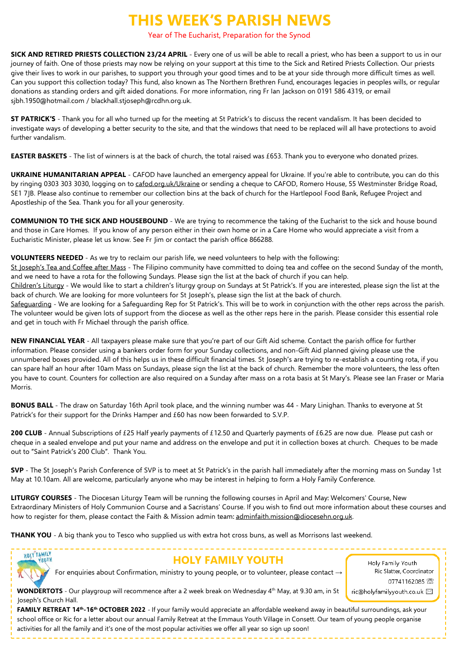## **THIS WEEK'S PARISH NEWS**

#### Year of The Eucharist, Preparation for the Synod

**SICK AND RETIRED PRIESTS COLLECTION 23/24 APRIL** - Every one of us will be able to recall a priest, who has been a support to us in our journey of faith. One of those priests may now be relying on your support at this time to the Sick and Retired Priests Collection. Our priests give their lives to work in our parishes, to support you through your good times and to be at your side through more difficult times as well. Can you support this collection today? This fund, also known as The Northern Brethren Fund, encourages legacies in peoples wills, or regular donations as standing orders and gift aided donations. For more information, ring Fr Ian Jackson on 0191 586 4319, or email sjbh.1950@hotmail.com / blackhall.stjoseph@rcdhn.org.uk.

**ST PATRICK'S** - Thank you for all who turned up for the meeting at St Patrick's to discuss the recent vandalism. It has been decided to investigate ways of developing a better security to the site, and that the windows that need to be replaced will all have protections to avoid further vandalism.

**EASTER BASKETS** - The list of winners is at the back of church, the total raised was £653. Thank you to everyone who donated prizes.

**UKRAINE HUMANITARIAN APPEAL** - CAFOD have launched an emergency appeal for Ukraine. If you're able to contribute, you can do this by ringing 0303 303 3030, logging on to [cafod.org.uk/Ukraine](http://cafod.org.uk/Ukraine) or sending a cheque to CAFOD, Romero House, 55 Westminster Bridge Road, SE1 7JB. Please also continue to remember our collection bins at the back of church for the Hartlepool Food Bank, Refugee Project and Apostleship of the Sea. Thank you for all your generosity.

**COMMUNION TO THE SICK AND HOUSEBOUND** - We are trying to recommence the taking of the Eucharist to the sick and house bound and those in Care Homes. If you know of any person either in their own home or in a Care Home who would appreciate a visit from a Eucharistic Minister, please let us know. See Fr Jim or contact the parish office 866288.

**VOLUNTEERS NEEDED** - As we try to reclaim our parish life, we need volunteers to help with the following: St Joseph's Tea and Coffee after Mass - The Filipino community have committed to doing tea and coffee on the second Sunday of the month, and we need to have a rota for the following Sundays. Please sign the list at the back of church if you can help. Children's Liturgy - We would like to start a children's liturgy group on Sundays at St Patrick's. If you are interested, please sign the list at the back of church. We are looking for more volunteers for St Joseph's, please sign the list at the back of church.

Safeguarding - We are looking for a Safeguarding Rep for St Patrick's. This will be to work in conjunction with the other reps across the parish. The volunteer would be given lots of support from the diocese as well as the other reps here in the parish. Please consider this essential role and get in touch with Fr Michael through the parish office.

**NEW FINANCIAL YEAR** - All taxpayers please make sure that you're part of our Gift Aid scheme. Contact the parish office for further information. Please consider using a bankers order form for your Sunday collections, and non-Gift Aid planned giving please use the unnumbered boxes provided. All of this helps us in these difficult financial times. St Joseph's are trying to re-establish a counting rota, if you can spare half an hour after 10am Mass on Sundays, please sign the list at the back of church. Remember the more volunteers, the less often you have to count. Counters for collection are also required on a Sunday after mass on a rota basis at St Mary's. Please see Ian Fraser or Maria Morris.

**BONUS BALL** - The draw on Saturday 16th April took place, and the winning number was 44 - Mary Linighan. Thanks to everyone at St Patrick's for their support for the Drinks Hamper and £60 has now been forwarded to S.V.P.

**200 CLUB** - Annual Subscriptions of £25 Half yearly payments of £12.50 and Quarterly payments of £6.25 are now due. Please put cash or cheque in a sealed envelope and put your name and address on the envelope and put it in collection boxes at church. Cheques to be made out to "Saint Patrick's 200 Club". Thank You.

**SVP** - The St Joseph's Parish Conference of SVP is to meet at St Patrick's in the parish hall immediately after the morning mass on Sunday 1st May at 10.10am. All are welcome, particularly anyone who may be interest in helping to form a Holy Family Conference.

**LITURGY COURSES** - The Diocesan Liturgy Team will be running the following courses in April and May: Welcomers' Course, New Extraordinary Ministers of Holy Communion Course and a Sacristans' Course. If you wish to find out more information about these courses and how to register for them, please contact the Faith & Mission admin team: [adminfaith.mission@diocesehn.org.uk.](mailto:adminfaith.mission@diocesehn.org.uk)

**THANK YOU** - A big thank you to Tesco who supplied us with extra hot cross buns, as well as Morrisons last weekend.



### **HOLY FAMILY YOUTH**

Holy Family Youth Ric Slatter, Coordinator 07741162085 2 ric@holyfamilyyouth.co.uk ⊠

For enquiries about Confirmation, ministry to young people, or to volunteer, please contact →

WONDERTOTS - Our playgroup will recommence after a 2 week break on Wednesday 4<sup>th</sup> May, at 9.30 am, in St Joseph's Church Hall.

**FAMILY RETREAT 14th -16th OCTOBER 2022** - If your family would appreciate an affordable weekend away in beautiful surroundings, ask your school office or Ric for a letter about our annual Family Retreat at the Emmaus Youth Village in Consett. Our team of young people organise activities for all the family and it's one of the most popular activities we offer all year so sign up soon!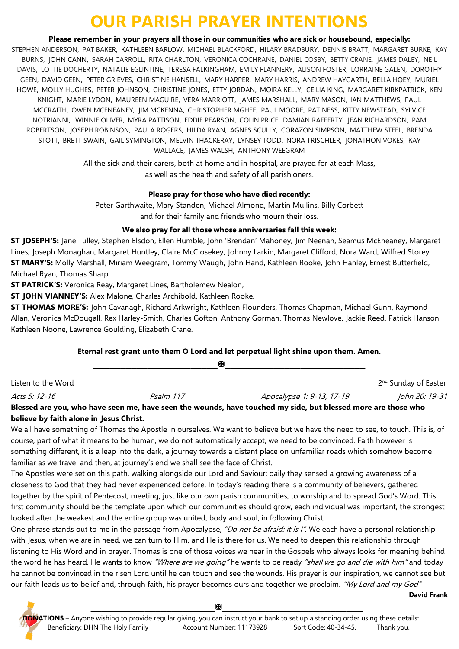# **OUR PARISH PRAYER INTENTIONS**

**Please remember in your prayers all those in our communities who are sick or housebound, especially:**

STEPHEN ANDERSON, PAT BAKER, KATHLEEN BARLOW, MICHAEL BLACKFORD, HILARY BRADBURY, DENNIS BRATT, MARGARET BURKE, KAY BURNS, JOHN CANN, SARAH CARROLL, RITA CHARLTON, VERONICA COCHRANE, DANIEL COSBY, BETTY CRANE, JAMES DALEY, NEIL DAVIS, LOTTIE DOCHERTY, NATALIE EGLINTINE, TERESA FALKINGHAM, EMILY FLANNERY, ALISON FOSTER, LORRAINE GALEN, DOROTHY GEEN, DAVID GEEN, PETER GRIEVES, CHRISTINE HANSELL, MARY HARPER, MARY HARRIS, ANDREW HAYGARTH, BELLA HOEY, MURIEL HOWE, MOLLY HUGHES, PETER JOHNSON, CHRISTINE JONES, ETTY JORDAN, MOIRA KELLY, CEILIA KING, MARGARET KIRKPATRICK, KEN KNIGHT, MARIE LYDON, MAUREEN MAGUIRE, VERA MARRIOTT, JAMES MARSHALL, MARY MASON, IAN MATTHEWS, PAUL MCCRAITH, OWEN MCENEANEY, JIM MCKENNA, CHRISTOPHER MGHEE, PAUL MOORE, PAT NESS, KITTY NEWSTEAD, SYLVICE NOTRIANNI, WINNIE OLIVER, MYRA PATTISON, EDDIE PEARSON, COLIN PRICE, DAMIAN RAFFERTY, JEAN RICHARDSON, PAM ROBERTSON, JOSEPH ROBINSON, PAULA ROGERS, HILDA RYAN, AGNES SCULLY, CORAZON SIMPSON, MATTHEW STEEL, BRENDA STOTT, BRETT SWAIN, GAIL SYMINGTON, MELVIN THACKERAY, LYNSEY TODD, NORA TRISCHLER, JONATHON VOKES, KAY WALLACE, JAMES WALSH, ANTHONY WEEGRAM

> All the sick and their carers, both at home and in hospital, are prayed for at each Mass, as well as the health and safety of all parishioners.

### **Please pray for those who have died recently:**

Peter Garthwaite, Mary Standen, Michael Almond, Martin Mullins, Billy Corbett and for their family and friends who mourn their loss.

### **We also pray for all those whose anniversaries fall this week:**

**ST JOSEPH'S:** Jane Tulley, Stephen Elsdon, Ellen Humble, John 'Brendan' Mahoney, Jim Neenan, Seamus McEneaney, Margaret Lines, Joseph Monaghan, Margaret Huntley, Claire McClosekey, Johnny Larkin, Margaret Clifford, Nora Ward, Wilfred Storey. **ST MARY'S:** Molly Marshall, Miriam Weegram, Tommy Waugh, John Hand, Kathleen Rooke, John Hanley, Ernest Butterfield, Michael Ryan, Thomas Sharp.

**ST PATRICK'S:** Veronica Reay, Margaret Lines, Bartholemew Nealon,

**ST JOHN VIANNEY'S:** Alex Malone, Charles Archibold, Kathleen Rooke.

**ST THOMAS MORE'S:** John Cavanagh, Richard Arkwright, Kathleen Flounders, Thomas Chapman, Michael Gunn, Raymond Allan, Veronica McDougall, Rex Harley-Smith, Charles Gofton, Anthony Gorman, Thomas Newlove, Jackie Reed, Patrick Hanson, Kathleen Noone, Lawrence Goulding, Elizabeth Crane.

### **Eternal rest grant unto them O Lord and let perpetual light shine upon them. Amen.**

**\_\_\_\_\_\_\_\_\_\_\_\_\_\_\_\_\_\_\_\_\_\_\_\_\_\_\_\_\_\_\_\_\_\_\_\_\_\_\_\_\_\_\_\_\_\_\_\_\_**

Listen to the Word 2

2<sup>nd</sup> Sunday of Easter

Acts 5: 12-16 Psalm 117 Apocalypse 1: 9-13, 17-19 John 20: 19-31

**Blessed are you, who have seen me, have seen the wounds, have touched my side, but blessed more are those who believe by faith alone in Jesus Christ.**

We all have something of Thomas the Apostle in ourselves. We want to believe but we have the need to see, to touch. This is, of course, part of what it means to be human, we do not automatically accept, we need to be convinced. Faith however is something different, it is a leap into the dark, a journey towards a distant place on unfamiliar roads which somehow become familiar as we travel and then, at journey's end we shall see the face of Christ.

The Apostles were set on this path, walking alongside our Lord and Saviour; daily they sensed a growing awareness of a closeness to God that they had never experienced before. In today's reading there is a community of believers, gathered together by the spirit of Pentecost, meeting, just like our own parish communities, to worship and to spread God's Word. This first community should be the template upon which our communities should grow, each individual was important, the strongest looked after the weakest and the entire group was united, body and soul, in following Christ.

One phrase stands out to me in the passage from Apocalypse, "Do not be afraid: it is I". We each have a personal relationship with Jesus, when we are in need, we can turn to Him, and He is there for us. We need to deepen this relationship through listening to His Word and in prayer. Thomas is one of those voices we hear in the Gospels who always looks for meaning behind the word he has heard. He wants to know "Where are we going" he wants to be ready "shall we go and die with him" and today he cannot be convinced in the risen Lord until he can touch and see the wounds. His prayer is our inspiration, we cannot see but our faith leads us to belief and, through faith, his prayer becomes ours and together we proclaim. "My Lord and my God"

**David Frank**

**\_\_\_\_\_\_\_\_\_\_\_\_\_\_\_\_\_\_\_\_\_\_\_\_\_\_\_\_\_\_\_\_\_\_\_\_\_\_\_\_\_\_\_\_\_\_\_\_\_**